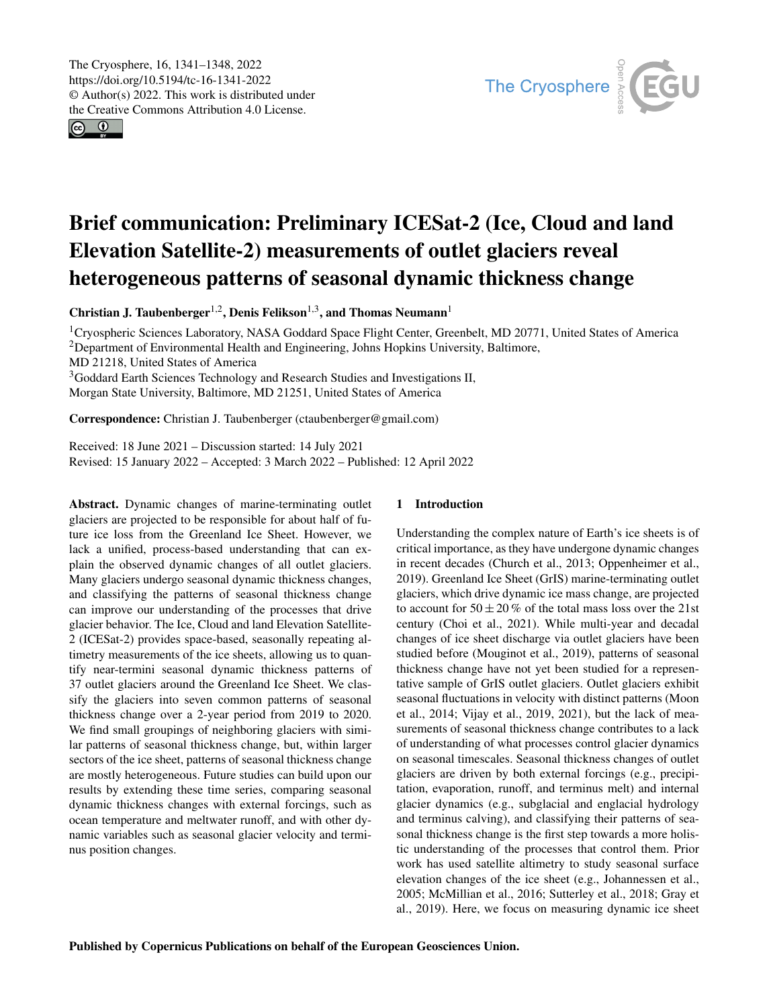$\circ$   $\circ$ 



# Brief communication: Preliminary ICESat-2 (Ice, Cloud and land Elevation Satellite-2) measurements of outlet glaciers reveal heterogeneous patterns of seasonal dynamic thickness change

Christian J. Taubenberger<sup>[1,2](#page-0-0)</sup>, Denis Felikson<sup>[1,3](#page-0-0)</sup>, and Thomas Neumann<sup>[1](#page-0-0)</sup>

<sup>1</sup>Cryospheric Sciences Laboratory, NASA Goddard Space Flight Center, Greenbelt, MD 20771, United States of America <sup>2</sup>Department of Environmental Health and Engineering, Johns Hopkins University, Baltimore, MD 21218, United States of America <sup>3</sup>Goddard Earth Sciences Technology and Research Studies and Investigations II, Morgan State University, Baltimore, MD 21251, United States of America

Correspondence: Christian J. Taubenberger (ctaubenberger@gmail.com)

Received: 18 June 2021 – Discussion started: 14 July 2021 Revised: 15 January 2022 – Accepted: 3 March 2022 – Published: 12 April 2022

<span id="page-0-0"></span>Abstract. Dynamic changes of marine-terminating outlet glaciers are projected to be responsible for about half of future ice loss from the Greenland Ice Sheet. However, we lack a unified, process-based understanding that can explain the observed dynamic changes of all outlet glaciers. Many glaciers undergo seasonal dynamic thickness changes, and classifying the patterns of seasonal thickness change can improve our understanding of the processes that drive glacier behavior. The Ice, Cloud and land Elevation Satellite-2 (ICESat-2) provides space-based, seasonally repeating altimetry measurements of the ice sheets, allowing us to quantify near-termini seasonal dynamic thickness patterns of 37 outlet glaciers around the Greenland Ice Sheet. We classify the glaciers into seven common patterns of seasonal thickness change over a 2-year period from 2019 to 2020. We find small groupings of neighboring glaciers with similar patterns of seasonal thickness change, but, within larger sectors of the ice sheet, patterns of seasonal thickness change are mostly heterogeneous. Future studies can build upon our results by extending these time series, comparing seasonal dynamic thickness changes with external forcings, such as ocean temperature and meltwater runoff, and with other dynamic variables such as seasonal glacier velocity and terminus position changes.

### 1 Introduction

Understanding the complex nature of Earth's ice sheets is of critical importance, as they have undergone dynamic changes in recent decades (Church et al., 2013; Oppenheimer et al., 2019). Greenland Ice Sheet (GrIS) marine-terminating outlet glaciers, which drive dynamic ice mass change, are projected to account for  $50 \pm 20\%$  of the total mass loss over the 21st century (Choi et al., 2021). While multi-year and decadal changes of ice sheet discharge via outlet glaciers have been studied before (Mouginot et al., 2019), patterns of seasonal thickness change have not yet been studied for a representative sample of GrIS outlet glaciers. Outlet glaciers exhibit seasonal fluctuations in velocity with distinct patterns (Moon et al., 2014; Vijay et al., 2019, 2021), but the lack of measurements of seasonal thickness change contributes to a lack of understanding of what processes control glacier dynamics on seasonal timescales. Seasonal thickness changes of outlet glaciers are driven by both external forcings (e.g., precipitation, evaporation, runoff, and terminus melt) and internal glacier dynamics (e.g., subglacial and englacial hydrology and terminus calving), and classifying their patterns of seasonal thickness change is the first step towards a more holistic understanding of the processes that control them. Prior work has used satellite altimetry to study seasonal surface elevation changes of the ice sheet (e.g., Johannessen et al., 2005; McMillian et al., 2016; Sutterley et al., 2018; Gray et al., 2019). Here, we focus on measuring dynamic ice sheet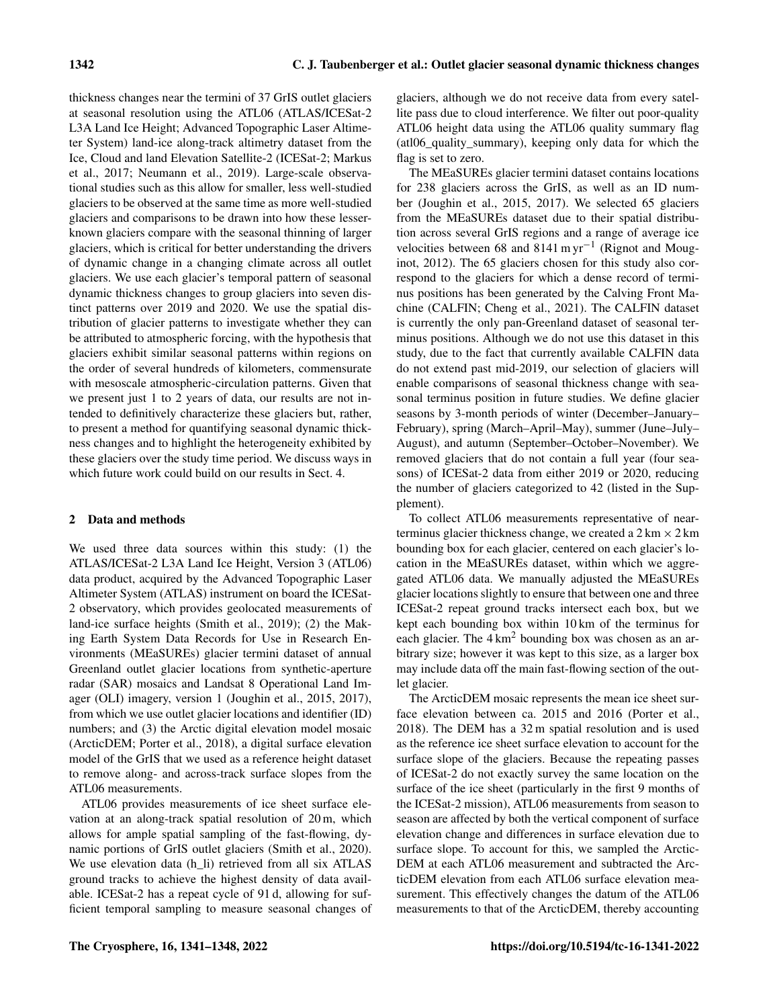thickness changes near the termini of 37 GrIS outlet glaciers at seasonal resolution using the ATL06 (ATLAS/ICESat-2 L3A Land Ice Height; Advanced Topographic Laser Altimeter System) land-ice along-track altimetry dataset from the Ice, Cloud and land Elevation Satellite-2 (ICESat-2; Markus et al., 2017; Neumann et al., 2019). Large-scale observational studies such as this allow for smaller, less well-studied glaciers to be observed at the same time as more well-studied glaciers and comparisons to be drawn into how these lesserknown glaciers compare with the seasonal thinning of larger glaciers, which is critical for better understanding the drivers of dynamic change in a changing climate across all outlet glaciers. We use each glacier's temporal pattern of seasonal dynamic thickness changes to group glaciers into seven distinct patterns over 2019 and 2020. We use the spatial distribution of glacier patterns to investigate whether they can be attributed to atmospheric forcing, with the hypothesis that glaciers exhibit similar seasonal patterns within regions on the order of several hundreds of kilometers, commensurate with mesoscale atmospheric-circulation patterns. Given that we present just 1 to 2 years of data, our results are not intended to definitively characterize these glaciers but, rather, to present a method for quantifying seasonal dynamic thickness changes and to highlight the heterogeneity exhibited by these glaciers over the study time period. We discuss ways in which future work could build on our results in Sect. 4.

### 2 Data and methods

We used three data sources within this study: (1) the ATLAS/ICESat-2 L3A Land Ice Height, Version 3 (ATL06) data product, acquired by the Advanced Topographic Laser Altimeter System (ATLAS) instrument on board the ICESat-2 observatory, which provides geolocated measurements of land-ice surface heights (Smith et al., 2019); (2) the Making Earth System Data Records for Use in Research Environments (MEaSUREs) glacier termini dataset of annual Greenland outlet glacier locations from synthetic-aperture radar (SAR) mosaics and Landsat 8 Operational Land Imager (OLI) imagery, version 1 (Joughin et al., 2015, 2017), from which we use outlet glacier locations and identifier (ID) numbers; and (3) the Arctic digital elevation model mosaic (ArcticDEM; Porter et al., 2018), a digital surface elevation model of the GrIS that we used as a reference height dataset to remove along- and across-track surface slopes from the ATL06 measurements.

ATL06 provides measurements of ice sheet surface elevation at an along-track spatial resolution of 20 m, which allows for ample spatial sampling of the fast-flowing, dynamic portions of GrIS outlet glaciers (Smith et al., 2020). We use elevation data (h\_li) retrieved from all six ATLAS ground tracks to achieve the highest density of data available. ICESat-2 has a repeat cycle of 91 d, allowing for sufficient temporal sampling to measure seasonal changes of

glaciers, although we do not receive data from every satellite pass due to cloud interference. We filter out poor-quality ATL06 height data using the ATL06 quality summary flag (atl06\_quality\_summary), keeping only data for which the flag is set to zero.

The MEaSUREs glacier termini dataset contains locations for 238 glaciers across the GrIS, as well as an ID number (Joughin et al., 2015, 2017). We selected 65 glaciers from the MEaSUREs dataset due to their spatial distribution across several GrIS regions and a range of average ice velocities between 68 and 8141 m yr<sup>-1</sup> (Rignot and Mouginot, 2012). The 65 glaciers chosen for this study also correspond to the glaciers for which a dense record of terminus positions has been generated by the Calving Front Machine (CALFIN; Cheng et al., 2021). The CALFIN dataset is currently the only pan-Greenland dataset of seasonal terminus positions. Although we do not use this dataset in this study, due to the fact that currently available CALFIN data do not extend past mid-2019, our selection of glaciers will enable comparisons of seasonal thickness change with seasonal terminus position in future studies. We define glacier seasons by 3-month periods of winter (December–January– February), spring (March–April–May), summer (June–July– August), and autumn (September–October–November). We removed glaciers that do not contain a full year (four seasons) of ICESat-2 data from either 2019 or 2020, reducing the number of glaciers categorized to 42 (listed in the Supplement).

To collect ATL06 measurements representative of nearterminus glacier thickness change, we created a  $2 \text{ km} \times 2 \text{ km}$ bounding box for each glacier, centered on each glacier's location in the MEaSUREs dataset, within which we aggregated ATL06 data. We manually adjusted the MEaSUREs glacier locations slightly to ensure that between one and three ICESat-2 repeat ground tracks intersect each box, but we kept each bounding box within 10 km of the terminus for each glacier. The  $4 \text{ km}^2$  bounding box was chosen as an arbitrary size; however it was kept to this size, as a larger box may include data off the main fast-flowing section of the outlet glacier.

The ArcticDEM mosaic represents the mean ice sheet surface elevation between ca. 2015 and 2016 (Porter et al., 2018). The DEM has a 32 m spatial resolution and is used as the reference ice sheet surface elevation to account for the surface slope of the glaciers. Because the repeating passes of ICESat-2 do not exactly survey the same location on the surface of the ice sheet (particularly in the first 9 months of the ICESat-2 mission), ATL06 measurements from season to season are affected by both the vertical component of surface elevation change and differences in surface elevation due to surface slope. To account for this, we sampled the Arctic-DEM at each ATL06 measurement and subtracted the ArcticDEM elevation from each ATL06 surface elevation measurement. This effectively changes the datum of the ATL06 measurements to that of the ArcticDEM, thereby accounting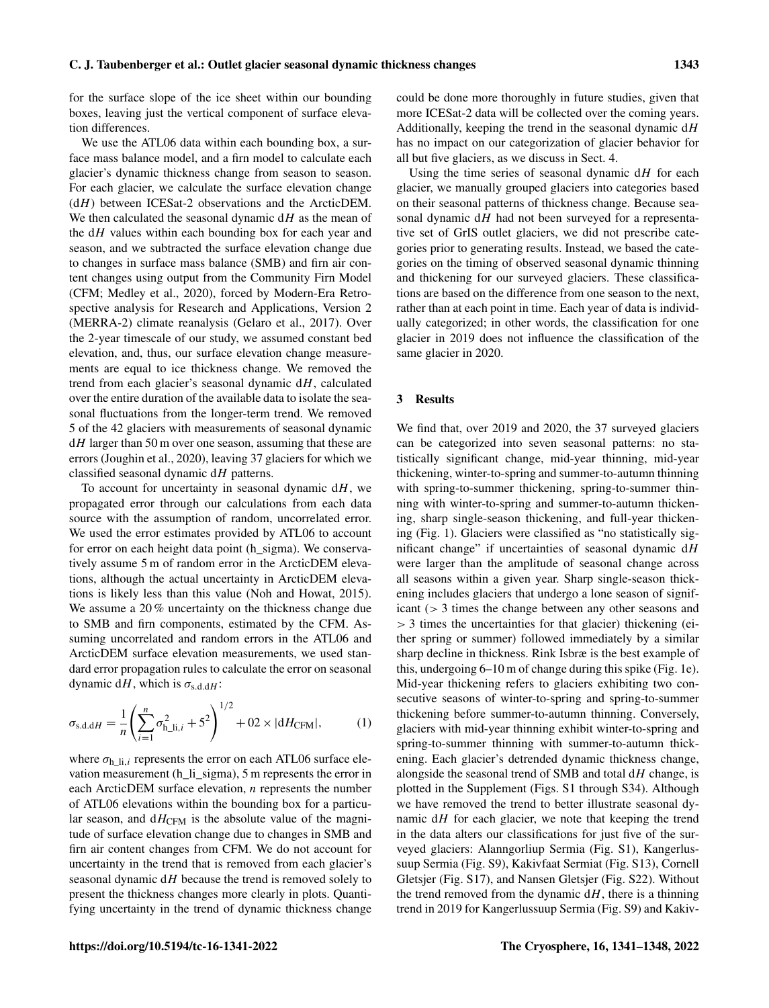for the surface slope of the ice sheet within our bounding boxes, leaving just the vertical component of surface elevation differences.

We use the ATL06 data within each bounding box, a surface mass balance model, and a firn model to calculate each glacier's dynamic thickness change from season to season. For each glacier, we calculate the surface elevation change  $(dH)$  between ICESat-2 observations and the ArcticDEM. We then calculated the seasonal dynamic  $dH$  as the mean of the  $dH$  values within each bounding box for each year and season, and we subtracted the surface elevation change due to changes in surface mass balance (SMB) and firn air content changes using output from the Community Firn Model (CFM; Medley et al., 2020), forced by Modern-Era Retrospective analysis for Research and Applications, Version 2 (MERRA-2) climate reanalysis (Gelaro et al., 2017). Over the 2-year timescale of our study, we assumed constant bed elevation, and, thus, our surface elevation change measurements are equal to ice thickness change. We removed the trend from each glacier's seasonal dynamic  $dH$ , calculated over the entire duration of the available data to isolate the seasonal fluctuations from the longer-term trend. We removed 5 of the 42 glaciers with measurements of seasonal dynamic  $dH$  larger than 50 m over one season, assuming that these are errors (Joughin et al., 2020), leaving 37 glaciers for which we classified seasonal dynamic  $dH$  patterns.

To account for uncertainty in seasonal dynamic  $dH$ , we propagated error through our calculations from each data source with the assumption of random, uncorrelated error. We used the error estimates provided by ATL06 to account for error on each height data point (h\_sigma). We conservatively assume 5 m of random error in the ArcticDEM elevations, although the actual uncertainty in ArcticDEM elevations is likely less than this value (Noh and Howat, 2015). We assume a 20 % uncertainty on the thickness change due to SMB and firn components, estimated by the CFM. Assuming uncorrelated and random errors in the ATL06 and ArcticDEM surface elevation measurements, we used standard error propagation rules to calculate the error on seasonal dynamic dH, which is  $\sigma_{s.d.dH}$ :

$$
\sigma_{\text{s.d.dH}} = \frac{1}{n} \left( \sum_{i=1}^{n} \sigma_{\text{h\_li},i}^{2} + 5^{2} \right)^{1/2} + 02 \times |dH_{\text{CFM}}|, \tag{1}
$$

where  $\sigma_{h\text{Ii},i}$  represents the error on each ATL06 surface elevation measurement (h\_li\_sigma), 5 m represents the error in each ArcticDEM surface elevation,  $n$  represents the number of ATL06 elevations within the bounding box for a particular season, and  $dH_{\text{CFM}}$  is the absolute value of the magnitude of surface elevation change due to changes in SMB and firn air content changes from CFM. We do not account for uncertainty in the trend that is removed from each glacier's seasonal dynamic  $dH$  because the trend is removed solely to present the thickness changes more clearly in plots. Quantifying uncertainty in the trend of dynamic thickness change could be done more thoroughly in future studies, given that more ICESat-2 data will be collected over the coming years. Additionally, keeping the trend in the seasonal dynamic dH has no impact on our categorization of glacier behavior for all but five glaciers, as we discuss in Sect. 4.

Using the time series of seasonal dynamic  $dH$  for each glacier, we manually grouped glaciers into categories based on their seasonal patterns of thickness change. Because seasonal dynamic  $dH$  had not been surveyed for a representative set of GrIS outlet glaciers, we did not prescribe categories prior to generating results. Instead, we based the categories on the timing of observed seasonal dynamic thinning and thickening for our surveyed glaciers. These classifications are based on the difference from one season to the next, rather than at each point in time. Each year of data is individually categorized; in other words, the classification for one glacier in 2019 does not influence the classification of the same glacier in 2020.

## 3 Results

We find that, over 2019 and 2020, the 37 surveyed glaciers can be categorized into seven seasonal patterns: no statistically significant change, mid-year thinning, mid-year thickening, winter-to-spring and summer-to-autumn thinning with spring-to-summer thickening, spring-to-summer thinning with winter-to-spring and summer-to-autumn thickening, sharp single-season thickening, and full-year thickening (Fig. 1). Glaciers were classified as "no statistically significant change" if uncertainties of seasonal dynamic  $dH$ were larger than the amplitude of seasonal change across all seasons within a given year. Sharp single-season thickening includes glaciers that undergo a lone season of significant (> 3 times the change between any other seasons and  $> 3$  times the uncertainties for that glacier) thickening (either spring or summer) followed immediately by a similar sharp decline in thickness. Rink Isbræ is the best example of this, undergoing 6–10 m of change during this spike (Fig. 1e). Mid-year thickening refers to glaciers exhibiting two consecutive seasons of winter-to-spring and spring-to-summer thickening before summer-to-autumn thinning. Conversely, glaciers with mid-year thinning exhibit winter-to-spring and spring-to-summer thinning with summer-to-autumn thickening. Each glacier's detrended dynamic thickness change, alongside the seasonal trend of SMB and total  $dH$  change, is plotted in the Supplement (Figs. S1 through S34). Although we have removed the trend to better illustrate seasonal dynamic  $dH$  for each glacier, we note that keeping the trend in the data alters our classifications for just five of the surveyed glaciers: Alanngorliup Sermia (Fig. S1), Kangerlussuup Sermia (Fig. S9), Kakivfaat Sermiat (Fig. S13), Cornell Gletsjer (Fig. S17), and Nansen Gletsjer (Fig. S22). Without the trend removed from the dynamic  $dH$ , there is a thinning trend in 2019 for Kangerlussuup Sermia (Fig. S9) and Kakiv-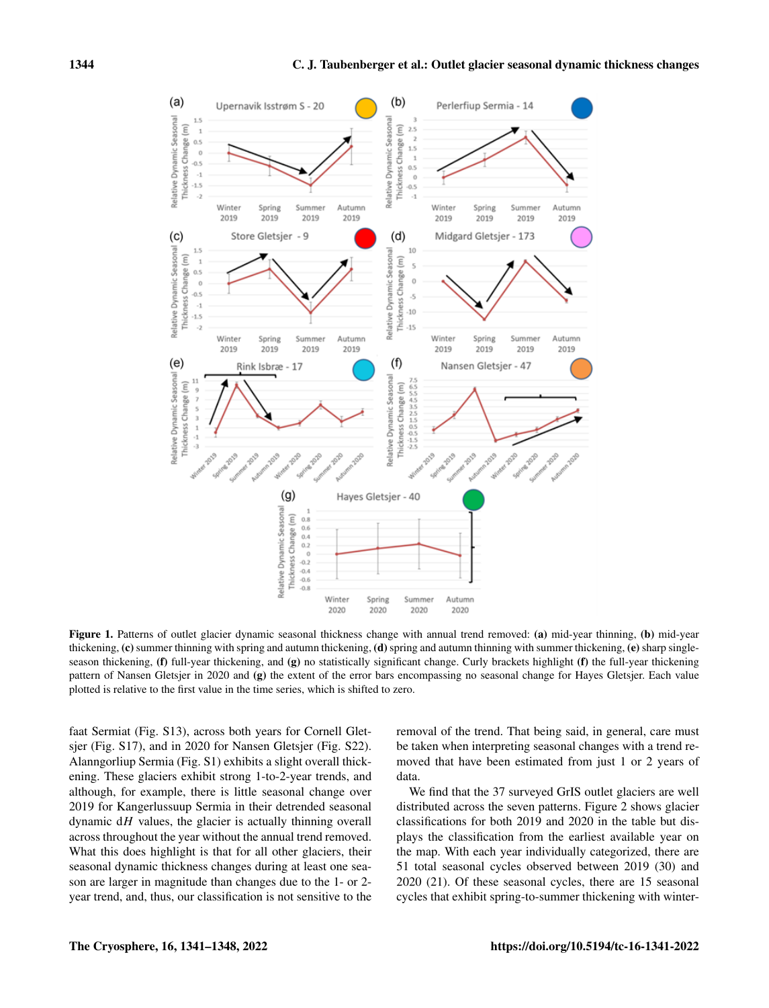

Figure 1. Patterns of outlet glacier dynamic seasonal thickness change with annual trend removed: (a) mid-year thinning, (b) mid-year thickening,  $(c)$  summer thinning with spring and autumn thickening,  $(d)$  spring and autumn thinning with summer thickening,  $(e)$  sharp singleseason thickening, (f) full-year thickening, and (g) no statistically significant change. Curly brackets highlight (f) the full-year thickening pattern of Nansen Gletsjer in 2020 and (g) the extent of the error bars encompassing no seasonal change for Hayes Gletsjer. Each value plotted is relative to the first value in the time series, which is shifted to zero.

faat Sermiat (Fig. S13), across both years for Cornell Gletsjer (Fig. S17), and in 2020 for Nansen Gletsjer (Fig. S22). Alanngorliup Sermia (Fig. S1) exhibits a slight overall thickening. These glaciers exhibit strong 1-to-2-year trends, and although, for example, there is little seasonal change over 2019 for Kangerlussuup Sermia in their detrended seasonal dynamic  $dH$  values, the glacier is actually thinning overall across throughout the year without the annual trend removed. What this does highlight is that for all other glaciers, their seasonal dynamic thickness changes during at least one season are larger in magnitude than changes due to the 1- or 2 year trend, and, thus, our classification is not sensitive to the removal of the trend. That being said, in general, care must be taken when interpreting seasonal changes with a trend removed that have been estimated from just 1 or 2 years of data.

We find that the 37 surveyed GrIS outlet glaciers are well distributed across the seven patterns. Figure 2 shows glacier classifications for both 2019 and 2020 in the table but displays the classification from the earliest available year on the map. With each year individually categorized, there are 51 total seasonal cycles observed between 2019 (30) and 2020 (21). Of these seasonal cycles, there are 15 seasonal cycles that exhibit spring-to-summer thickening with winter-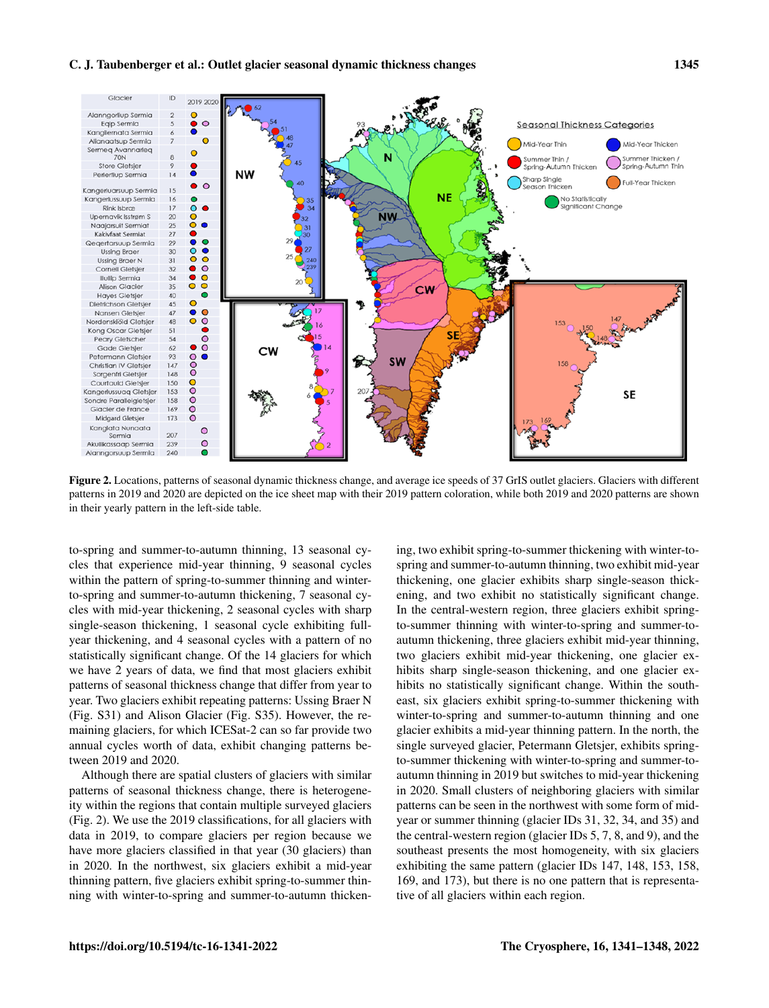

Figure 2. Locations, patterns of seasonal dynamic thickness change, and average ice speeds of 37 GrIS outlet glaciers. Glaciers with different patterns in 2019 and 2020 are depicted on the ice sheet map with their 2019 pattern coloration, while both 2019 and 2020 patterns are shown in their yearly pattern in the left-side table.

to-spring and summer-to-autumn thinning, 13 seasonal cycles that experience mid-year thinning, 9 seasonal cycles within the pattern of spring-to-summer thinning and winterto-spring and summer-to-autumn thickening, 7 seasonal cycles with mid-year thickening, 2 seasonal cycles with sharp single-season thickening, 1 seasonal cycle exhibiting fullyear thickening, and 4 seasonal cycles with a pattern of no statistically significant change. Of the 14 glaciers for which we have 2 years of data, we find that most glaciers exhibit patterns of seasonal thickness change that differ from year to year. Two glaciers exhibit repeating patterns: Ussing Braer N (Fig. S31) and Alison Glacier (Fig. S35). However, the remaining glaciers, for which ICESat-2 can so far provide two annual cycles worth of data, exhibit changing patterns between 2019 and 2020.

Although there are spatial clusters of glaciers with similar patterns of seasonal thickness change, there is heterogeneity within the regions that contain multiple surveyed glaciers (Fig. 2). We use the 2019 classifications, for all glaciers with data in 2019, to compare glaciers per region because we have more glaciers classified in that year (30 glaciers) than in 2020. In the northwest, six glaciers exhibit a mid-year thinning pattern, five glaciers exhibit spring-to-summer thinning with winter-to-spring and summer-to-autumn thickening, two exhibit spring-to-summer thickening with winter-tospring and summer-to-autumn thinning, two exhibit mid-year thickening, one glacier exhibits sharp single-season thickening, and two exhibit no statistically significant change. In the central-western region, three glaciers exhibit springto-summer thinning with winter-to-spring and summer-toautumn thickening, three glaciers exhibit mid-year thinning, two glaciers exhibit mid-year thickening, one glacier exhibits sharp single-season thickening, and one glacier exhibits no statistically significant change. Within the southeast, six glaciers exhibit spring-to-summer thickening with winter-to-spring and summer-to-autumn thinning and one glacier exhibits a mid-year thinning pattern. In the north, the single surveyed glacier, Petermann Gletsjer, exhibits springto-summer thickening with winter-to-spring and summer-toautumn thinning in 2019 but switches to mid-year thickening in 2020. Small clusters of neighboring glaciers with similar patterns can be seen in the northwest with some form of midyear or summer thinning (glacier IDs 31, 32, 34, and 35) and the central-western region (glacier IDs 5, 7, 8, and 9), and the southeast presents the most homogeneity, with six glaciers exhibiting the same pattern (glacier IDs 147, 148, 153, 158, 169, and 173), but there is no one pattern that is representative of all glaciers within each region.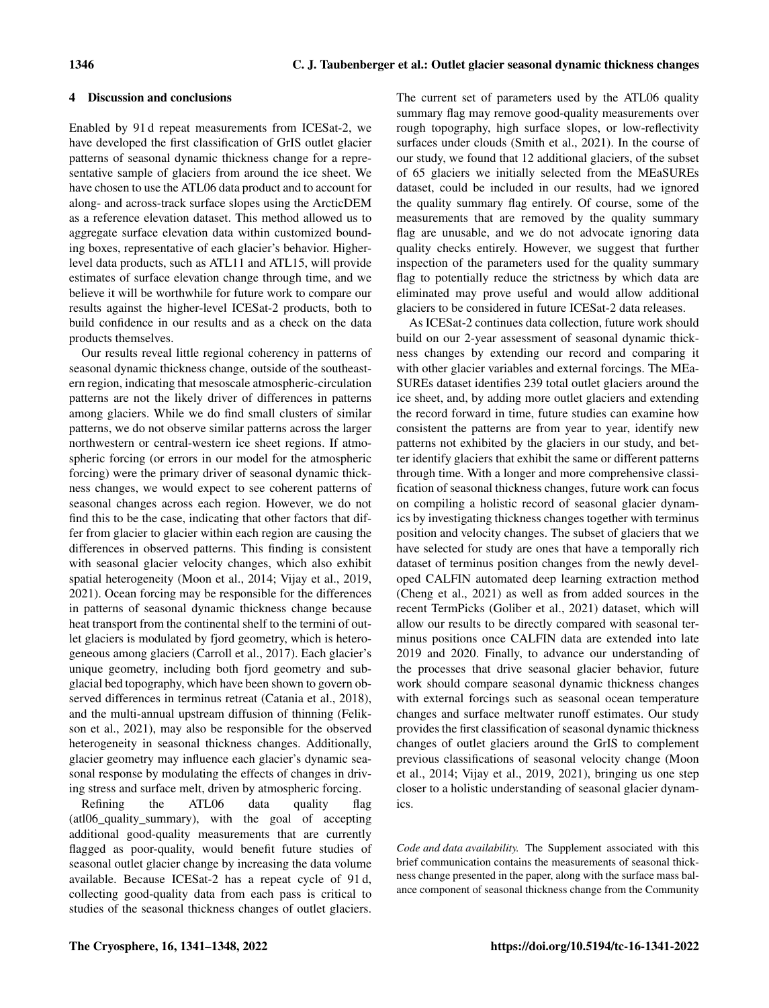## 4 Discussion and conclusions

Enabled by 91 d repeat measurements from ICESat-2, we have developed the first classification of GrIS outlet glacier patterns of seasonal dynamic thickness change for a representative sample of glaciers from around the ice sheet. We have chosen to use the ATL06 data product and to account for along- and across-track surface slopes using the ArcticDEM as a reference elevation dataset. This method allowed us to aggregate surface elevation data within customized bounding boxes, representative of each glacier's behavior. Higherlevel data products, such as ATL11 and ATL15, will provide estimates of surface elevation change through time, and we believe it will be worthwhile for future work to compare our results against the higher-level ICESat-2 products, both to build confidence in our results and as a check on the data products themselves.

Our results reveal little regional coherency in patterns of seasonal dynamic thickness change, outside of the southeastern region, indicating that mesoscale atmospheric-circulation patterns are not the likely driver of differences in patterns among glaciers. While we do find small clusters of similar patterns, we do not observe similar patterns across the larger northwestern or central-western ice sheet regions. If atmospheric forcing (or errors in our model for the atmospheric forcing) were the primary driver of seasonal dynamic thickness changes, we would expect to see coherent patterns of seasonal changes across each region. However, we do not find this to be the case, indicating that other factors that differ from glacier to glacier within each region are causing the differences in observed patterns. This finding is consistent with seasonal glacier velocity changes, which also exhibit spatial heterogeneity (Moon et al., 2014; Vijay et al., 2019, 2021). Ocean forcing may be responsible for the differences in patterns of seasonal dynamic thickness change because heat transport from the continental shelf to the termini of outlet glaciers is modulated by fjord geometry, which is heterogeneous among glaciers (Carroll et al., 2017). Each glacier's unique geometry, including both fjord geometry and subglacial bed topography, which have been shown to govern observed differences in terminus retreat (Catania et al., 2018), and the multi-annual upstream diffusion of thinning (Felikson et al., 2021), may also be responsible for the observed heterogeneity in seasonal thickness changes. Additionally, glacier geometry may influence each glacier's dynamic seasonal response by modulating the effects of changes in driving stress and surface melt, driven by atmospheric forcing.

Refining the ATL06 data quality flag (atl06\_quality\_summary), with the goal of accepting additional good-quality measurements that are currently flagged as poor-quality, would benefit future studies of seasonal outlet glacier change by increasing the data volume available. Because ICESat-2 has a repeat cycle of 91 d, collecting good-quality data from each pass is critical to studies of the seasonal thickness changes of outlet glaciers.

The current set of parameters used by the ATL06 quality summary flag may remove good-quality measurements over rough topography, high surface slopes, or low-reflectivity surfaces under clouds (Smith et al., 2021). In the course of our study, we found that 12 additional glaciers, of the subset of 65 glaciers we initially selected from the MEaSUREs dataset, could be included in our results, had we ignored the quality summary flag entirely. Of course, some of the measurements that are removed by the quality summary flag are unusable, and we do not advocate ignoring data quality checks entirely. However, we suggest that further inspection of the parameters used for the quality summary flag to potentially reduce the strictness by which data are eliminated may prove useful and would allow additional glaciers to be considered in future ICESat-2 data releases.

As ICESat-2 continues data collection, future work should build on our 2-year assessment of seasonal dynamic thickness changes by extending our record and comparing it with other glacier variables and external forcings. The MEa-SUREs dataset identifies 239 total outlet glaciers around the ice sheet, and, by adding more outlet glaciers and extending the record forward in time, future studies can examine how consistent the patterns are from year to year, identify new patterns not exhibited by the glaciers in our study, and better identify glaciers that exhibit the same or different patterns through time. With a longer and more comprehensive classification of seasonal thickness changes, future work can focus on compiling a holistic record of seasonal glacier dynamics by investigating thickness changes together with terminus position and velocity changes. The subset of glaciers that we have selected for study are ones that have a temporally rich dataset of terminus position changes from the newly developed CALFIN automated deep learning extraction method (Cheng et al., 2021) as well as from added sources in the recent TermPicks (Goliber et al., 2021) dataset, which will allow our results to be directly compared with seasonal terminus positions once CALFIN data are extended into late 2019 and 2020. Finally, to advance our understanding of the processes that drive seasonal glacier behavior, future work should compare seasonal dynamic thickness changes with external forcings such as seasonal ocean temperature changes and surface meltwater runoff estimates. Our study provides the first classification of seasonal dynamic thickness changes of outlet glaciers around the GrIS to complement previous classifications of seasonal velocity change (Moon et al., 2014; Vijay et al., 2019, 2021), bringing us one step closer to a holistic understanding of seasonal glacier dynamics.

*Code and data availability.* The Supplement associated with this brief communication contains the measurements of seasonal thickness change presented in the paper, along with the surface mass balance component of seasonal thickness change from the Community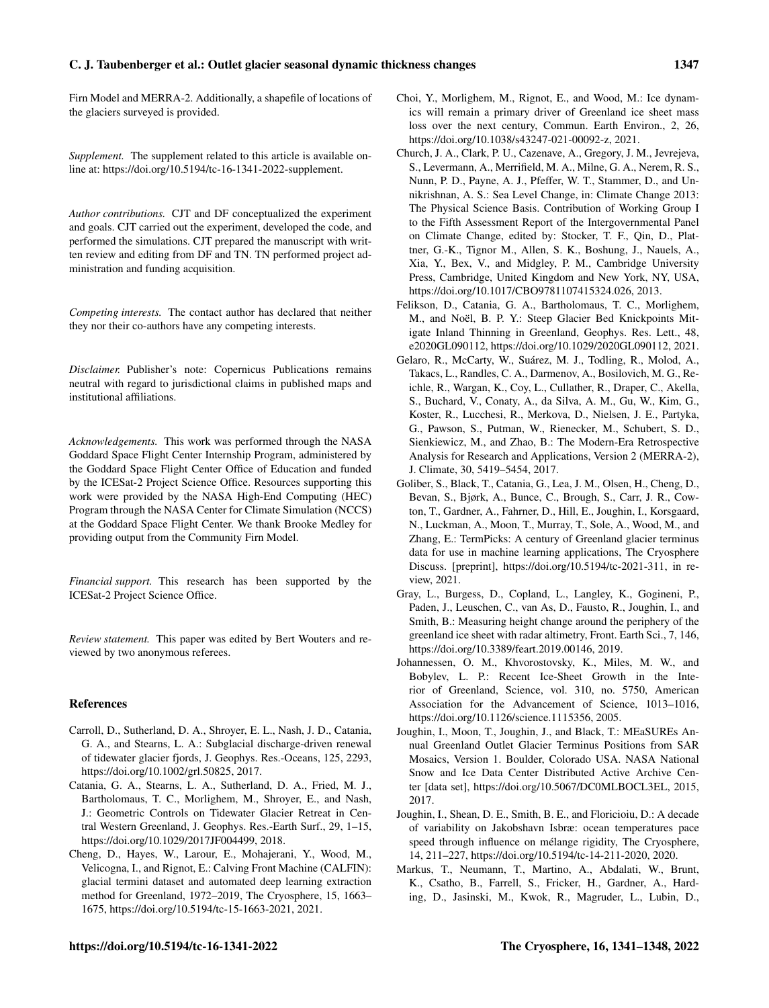#### C. J. Taubenberger et al.: Outlet glacier seasonal dynamic thickness changes 1347

Firn Model and MERRA-2. Additionally, a shapefile of locations of the glaciers surveyed is provided.

*Supplement.* The supplement related to this article is available online at: [https://doi.org/10.5194/tc-16-1341-2022-supplement.](https://doi.org/10.5194/tc-16-1341-2022-supplement)

*Author contributions.* CJT and DF conceptualized the experiment and goals. CJT carried out the experiment, developed the code, and performed the simulations. CJT prepared the manuscript with written review and editing from DF and TN. TN performed project administration and funding acquisition.

*Competing interests.* The contact author has declared that neither they nor their co-authors have any competing interests.

*Disclaimer.* Publisher's note: Copernicus Publications remains neutral with regard to jurisdictional claims in published maps and institutional affiliations.

*Acknowledgements.* This work was performed through the NASA Goddard Space Flight Center Internship Program, administered by the Goddard Space Flight Center Office of Education and funded by the ICESat-2 Project Science Office. Resources supporting this work were provided by the NASA High-End Computing (HEC) Program through the NASA Center for Climate Simulation (NCCS) at the Goddard Space Flight Center. We thank Brooke Medley for providing output from the Community Firn Model.

*Financial support.* This research has been supported by the ICESat-2 Project Science Office.

*Review statement.* This paper was edited by Bert Wouters and reviewed by two anonymous referees.

#### References

- Carroll, D., Sutherland, D. A., Shroyer, E. L., Nash, J. D., Catania, G. A., and Stearns, L. A.: Subglacial discharge-driven renewal of tidewater glacier fjords, J. Geophys. Res.-Oceans, 125, 2293, https://doi.org[/10.1002/grl.50825,](https://doi.org/10.1002/grl.50825) 2017.
- Catania, G. A., Stearns, L. A., Sutherland, D. A., Fried, M. J., Bartholomaus, T. C., Morlighem, M., Shroyer, E., and Nash, J.: Geometric Controls on Tidewater Glacier Retreat in Central Western Greenland, J. Geophys. Res.-Earth Surf., 29, 1–15, https://doi.org[/10.1029/2017JF004499,](https://doi.org/10.1029/2017JF004499) 2018.
- Cheng, D., Hayes, W., Larour, E., Mohajerani, Y., Wood, M., Velicogna, I., and Rignot, E.: Calving Front Machine (CALFIN): glacial termini dataset and automated deep learning extraction method for Greenland, 1972–2019, The Cryosphere, 15, 1663– 1675, https://doi.org[/10.5194/tc-15-1663-2021,](https://doi.org/10.5194/tc-15-1663-2021) 2021.
- Choi, Y., Morlighem, M., Rignot, E., and Wood, M.: Ice dynamics will remain a primary driver of Greenland ice sheet mass loss over the next century, Commun. Earth Environ., 2, 26, https://doi.org[/10.1038/s43247-021-00092-z,](https://doi.org/10.1038/s43247-021-00092-z) 2021.
- Church, J. A., Clark, P. U., Cazenave, A., Gregory, J. M., Jevrejeva, S., Levermann, A., Merrifield, M. A., Milne, G. A., Nerem, R. S., Nunn, P. D., Payne, A. J., Pfeffer, W. T., Stammer, D., and Unnikrishnan, A. S.: Sea Level Change, in: Climate Change 2013: The Physical Science Basis. Contribution of Working Group I to the Fifth Assessment Report of the Intergovernmental Panel on Climate Change, edited by: Stocker, T. F., Qin, D., Plattner, G.-K., Tignor M., Allen, S. K., Boshung, J., Nauels, A., Xia, Y., Bex, V., and Midgley, P. M., Cambridge University Press, Cambridge, United Kingdom and New York, NY, USA, https://doi.org[/10.1017/CBO9781107415324.026,](https://doi.org/10.1017/CBO9781107415324.026) 2013.
- Felikson, D., Catania, G. A., Bartholomaus, T. C., Morlighem, M., and Noël, B. P. Y.: Steep Glacier Bed Knickpoints Mitigate Inland Thinning in Greenland, Geophys. Res. Lett., 48, e2020GL090112, https://doi.org[/10.1029/2020GL090112,](https://doi.org/10.1029/2020GL090112) 2021.
- Gelaro, R., McCarty, W., Suárez, M. J., Todling, R., Molod, A., Takacs, L., Randles, C. A., Darmenov, A., Bosilovich, M. G., Reichle, R., Wargan, K., Coy, L., Cullather, R., Draper, C., Akella, S., Buchard, V., Conaty, A., da Silva, A. M., Gu, W., Kim, G., Koster, R., Lucchesi, R., Merkova, D., Nielsen, J. E., Partyka, G., Pawson, S., Putman, W., Rienecker, M., Schubert, S. D., Sienkiewicz, M., and Zhao, B.: The Modern-Era Retrospective Analysis for Research and Applications, Version 2 (MERRA-2), J. Climate, 30, 5419–5454, 2017.
- Goliber, S., Black, T., Catania, G., Lea, J. M., Olsen, H., Cheng, D., Bevan, S., Bjørk, A., Bunce, C., Brough, S., Carr, J. R., Cowton, T., Gardner, A., Fahrner, D., Hill, E., Joughin, I., Korsgaard, N., Luckman, A., Moon, T., Murray, T., Sole, A., Wood, M., and Zhang, E.: TermPicks: A century of Greenland glacier terminus data for use in machine learning applications, The Cryosphere Discuss. [preprint], https://doi.org[/10.5194/tc-2021-311,](https://doi.org/10.5194/tc-2021-311) in review, 2021.
- Gray, L., Burgess, D., Copland, L., Langley, K., Gogineni, P., Paden, J., Leuschen, C., van As, D., Fausto, R., Joughin, I., and Smith, B.: Measuring height change around the periphery of the greenland ice sheet with radar altimetry, Front. Earth Sci., 7, 146, https://doi.org[/10.3389/feart.2019.00146,](https://doi.org/10.3389/feart.2019.00146) 2019.
- Johannessen, O. M., Khvorostovsky, K., Miles, M. W., and Bobylev, L. P.: Recent Ice-Sheet Growth in the Interior of Greenland, Science, vol. 310, no. 5750, American Association for the Advancement of Science, 1013–1016, https://doi.org[/10.1126/science.1115356,](https://doi.org/10.1126/science.1115356) 2005.
- Joughin, I., Moon, T., Joughin, J., and Black, T.: MEaSUREs Annual Greenland Outlet Glacier Terminus Positions from SAR Mosaics, Version 1. Boulder, Colorado USA. NASA National Snow and Ice Data Center Distributed Active Archive Center [data set], https://doi.org[/10.5067/DC0MLBOCL3EL,](https://doi.org/10.5067/DC0MLBOCL3EL) 2015, 2017.
- Joughin, I., Shean, D. E., Smith, B. E., and Floricioiu, D.: A decade of variability on Jakobshavn Isbræ: ocean temperatures pace speed through influence on mélange rigidity, The Cryosphere, 14, 211–227, https://doi.org[/10.5194/tc-14-211-2020,](https://doi.org/10.5194/tc-14-211-2020) 2020.
- Markus, T., Neumann, T., Martino, A., Abdalati, W., Brunt, K., Csatho, B., Farrell, S., Fricker, H., Gardner, A., Harding, D., Jasinski, M., Kwok, R., Magruder, L., Lubin, D.,